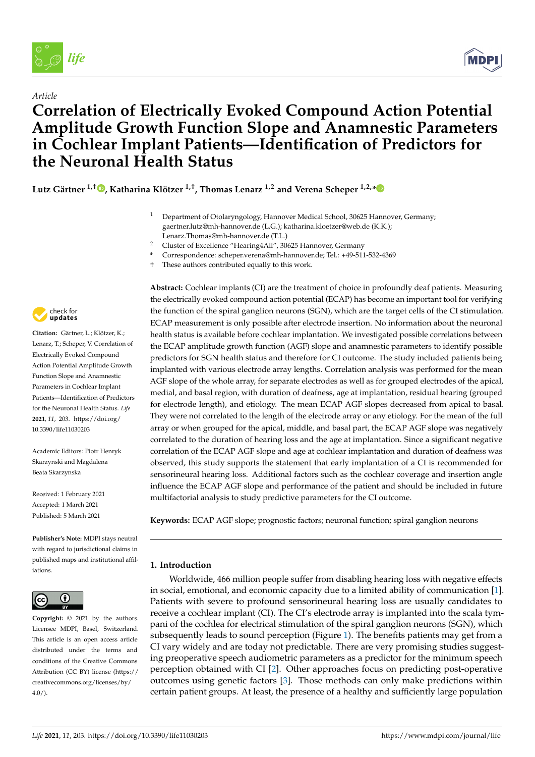

*Article*



# **Correlation of Electrically Evoked Compound Action Potential Amplitude Growth Function Slope and Anamnestic Parameters in Cochlear Implant Patients—Identification of Predictors for the Neuronal Health Status**

**Lutz Gärtner 1,† , Katharina Klötzer 1,†, Thomas Lenarz 1,2 and Verena Scheper 1,2,\***

- <sup>1</sup> Department of Otolaryngology, Hannover Medical School, 30625 Hannover, Germany; gaertner.lutz@mh-hannover.de (L.G.); katharina.kloetzer@web.de (K.K.); Lenarz.Thomas@mh-hannover.de (T.L.)
- <sup>2</sup> Cluster of Excellence "Hearing4All", 30625 Hannover, Germany
- **\*** Correspondence: scheper.verena@mh-hannover.de; Tel.: +49-511-532-4369
- † These authors contributed equally to this work.



**Citation:** Gärtner, L.; Klötzer, K.; Lenarz, T.; Scheper, V. Correlation of Electrically Evoked Compound Action Potential Amplitude Growth Function Slope and Anamnestic Parameters in Cochlear Implant Patients—Identification of Predictors for the Neuronal Health Status. *Life* **2021**, *11*, 203. https://doi.org/ 10.3390/life11030203

Academic Editors: Piotr Henryk Skarzynski and Magdalena Beata Skarzynska

Received: 1 February 2021 Accepted: 1 March 2021 Published: 5 March 2021

**Publisher's Note:** MDPI stays neutral with regard to jurisdictional claims in published maps and institutional affiliations.



**Copyright:** © 2021 by the authors. Licensee MDPI, Basel, Switzerland. This article is an open access article distributed under the terms and conditions of the Creative Commons Attribution (CC BY) license (https:// creativecommons.org/licenses/by/  $4.0/$ ).

**Abstract:** Cochlear implants (CI) are the treatment of choice in profoundly deaf patients. Measuring the electrically evoked compound action potential (ECAP) has become an important tool for verifying the function of the spiral ganglion neurons (SGN), which are the target cells of the CI stimulation. ECAP measurement is only possible after electrode insertion. No information about the neuronal health status is available before cochlear implantation. We investigated possible correlations between the ECAP amplitude growth function (AGF) slope and anamnestic parameters to identify possible predictors for SGN health status and therefore for CI outcome. The study included patients being implanted with various electrode array lengths. Correlation analysis was performed for the mean AGF slope of the whole array, for separate electrodes as well as for grouped electrodes of the apical, medial, and basal region, with duration of deafness, age at implantation, residual hearing (grouped for electrode length), and etiology. The mean ECAP AGF slopes decreased from apical to basal. They were not correlated to the length of the electrode array or any etiology. For the mean of the full array or when grouped for the apical, middle, and basal part, the ECAP AGF slope was negatively correlated to the duration of hearing loss and the age at implantation. Since a significant negative correlation of the ECAP AGF slope and age at cochlear implantation and duration of deafness was observed, this study supports the statement that early implantation of a CI is recommended for sensorineural hearing loss. Additional factors such as the cochlear coverage and insertion angle influence the ECAP AGF slope and performance of the patient and should be included in future multifactorial analysis to study predictive parameters for the CI outcome.

**Keywords:** ECAP AGF slope; prognostic factors; neuronal function; spiral ganglion neurons

# **1. Introduction**

Worldwide, 466 million people suffer from disabling hearing loss with negative effects in social, emotional, and economic capacity due to a limited ability of communication [1]. Patients with severe to profound sensorineural hearing loss are usually candidates to receive a cochlear implant (CI). The CI's electrode array is implanted into the scala tympani of the cochlea for electrical stimulation of the spiral ganglion neurons (SGN), which subsequently leads to sound perception (Figure 1). The benefits patients may get from a CI vary widely and are today not predictable. There are very promising studies suggesting preoperative speech audiometric parameters as a predictor for the minimum speech perception obtained with CI [2]. Other approaches focus on predicting post-operative outcomes using genetic factors [3]. Those methods can only make predictions within certain patient groups. At least, the presence of a healthy and sufficiently large population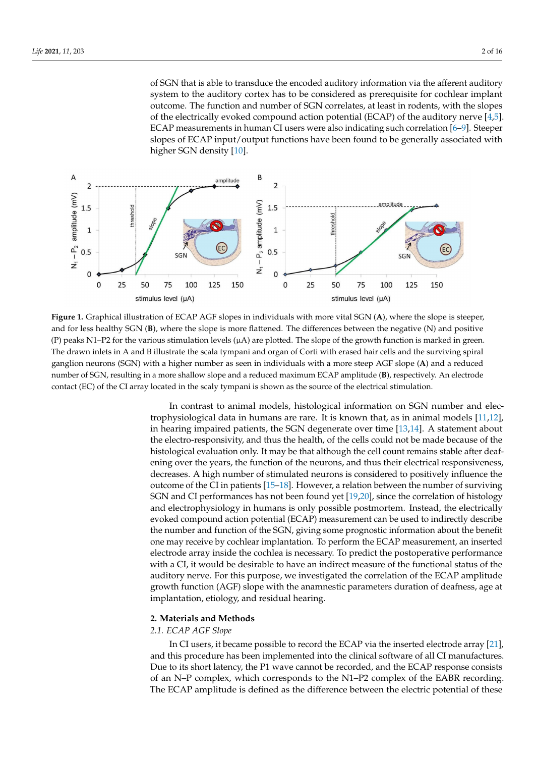of SGN that is able to transduce the encoded auditory information via the afferent auditory system to the auditory cortex has to be considered as prerequisite for cochlear implant outcome. The function and number of SGN correlates, at least in rodents, with the slopes of the electrically evoked compound action potential (ECAP) of the auditory nerve [4,5]. ECAP measurements in human CI users were also indicating such correlation [6–9]. Steeper slopes of ECAP input/output functions have been found to be generally associated with higher SGN density [10].



**Figure 1.** Graphical illustration of ECAP AGF slopes in individuals with more vital SGN (**A**), where the slope is steeper, and for less healthy SGN (**B**), where the slope is more flattened. The differences between the negative (N) and positive (P) peaks N1–P2 for the various stimulation levels  $(\mu A)$  are plotted. The slope of the growth function is marked in green. The drawn inlets in A and B illustrate the scala tympani and organ of Corti with erased hair cells and the surviving spiral ganglion neurons (SGN) with a higher number as seen in individuals with a more steep AGF slope (**A**) and a reduced number of SGN, resulting in a more shallow slope and a reduced maximum ECAP amplitude (**B**), respectively. An electrode contact (EC) of the CI array located in the scaly tympani is shown as the source of the electrical stimulation.

In contrast to animal models, histological information on SGN number and electrophysiological data in humans are rare. It is known that, as in animal models [11,12], in hearing impaired patients, the SGN degenerate over time [13,14]. A statement about the electro-responsivity, and thus the health, of the cells could not be made because of the histological evaluation only. It may be that although the cell count remains stable after deafening over the years, the function of the neurons, and thus their electrical responsiveness, decreases. A high number of stimulated neurons is considered to positively influence the outcome of the CI in patients [15–18]. However, a relation between the number of surviving SGN and CI performances has not been found yet [19,20], since the correlation of histology and electrophysiology in humans is only possible postmortem. Instead, the electrically evoked compound action potential (ECAP) measurement can be used to indirectly describe the number and function of the SGN, giving some prognostic information about the benefit one may receive by cochlear implantation. To perform the ECAP measurement, an inserted electrode array inside the cochlea is necessary. To predict the postoperative performance with a CI, it would be desirable to have an indirect measure of the functional status of the auditory nerve. For this purpose, we investigated the correlation of the ECAP amplitude growth function (AGF) slope with the anamnestic parameters duration of deafness, age at implantation, etiology, and residual hearing.

#### **2. Materials and Methods**

#### *2.1. ECAP AGF Slope*

In CI users, it became possible to record the ECAP via the inserted electrode array [21], and this procedure has been implemented into the clinical software of all CI manufactures. Due to its short latency, the P1 wave cannot be recorded, and the ECAP response consists of an N–P complex, which corresponds to the N1–P2 complex of the EABR recording. The ECAP amplitude is defined as the difference between the electric potential of these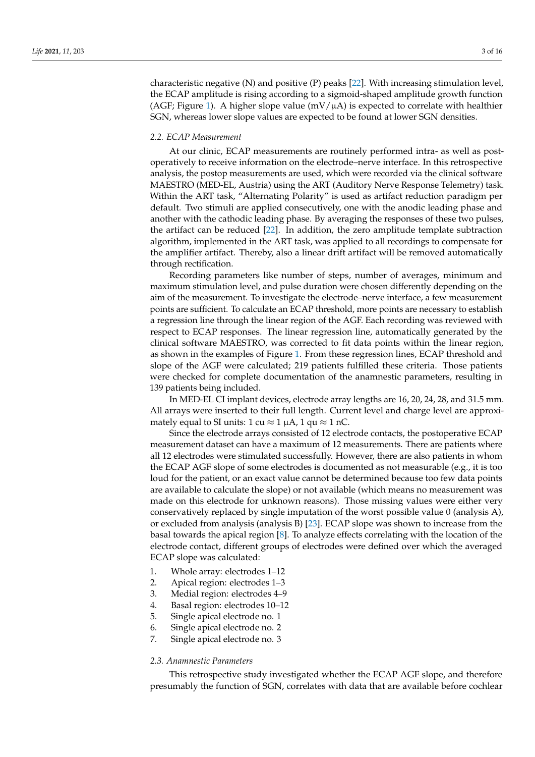characteristic negative (N) and positive (P) peaks [22]. With increasing stimulation level, the ECAP amplitude is rising according to a sigmoid-shaped amplitude growth function (AGF; Figure 1). A higher slope value ( $mV/\mu A$ ) is expected to correlate with healthier SGN, whereas lower slope values are expected to be found at lower SGN densities.

#### *2.2. ECAP Measurement*

At our clinic, ECAP measurements are routinely performed intra- as well as postoperatively to receive information on the electrode–nerve interface. In this retrospective analysis, the postop measurements are used, which were recorded via the clinical software MAESTRO (MED-EL, Austria) using the ART (Auditory Nerve Response Telemetry) task. Within the ART task, "Alternating Polarity" is used as artifact reduction paradigm per default. Two stimuli are applied consecutively, one with the anodic leading phase and another with the cathodic leading phase. By averaging the responses of these two pulses, the artifact can be reduced [22]. In addition, the zero amplitude template subtraction algorithm, implemented in the ART task, was applied to all recordings to compensate for the amplifier artifact. Thereby, also a linear drift artifact will be removed automatically through rectification.

Recording parameters like number of steps, number of averages, minimum and maximum stimulation level, and pulse duration were chosen differently depending on the aim of the measurement. To investigate the electrode–nerve interface, a few measurement points are sufficient. To calculate an ECAP threshold, more points are necessary to establish a regression line through the linear region of the AGF. Each recording was reviewed with respect to ECAP responses. The linear regression line, automatically generated by the clinical software MAESTRO, was corrected to fit data points within the linear region, as shown in the examples of Figure 1. From these regression lines, ECAP threshold and slope of the AGF were calculated; 219 patients fulfilled these criteria. Those patients were checked for complete documentation of the anamnestic parameters, resulting in 139 patients being included.

In MED-EL CI implant devices, electrode array lengths are 16, 20, 24, 28, and 31.5 mm. All arrays were inserted to their full length. Current level and charge level are approximately equal to SI units: 1 cu  $\approx$  1  $\mu$ A, 1 qu  $\approx$  1 nC.

Since the electrode arrays consisted of 12 electrode contacts, the postoperative ECAP measurement dataset can have a maximum of 12 measurements. There are patients where all 12 electrodes were stimulated successfully. However, there are also patients in whom the ECAP AGF slope of some electrodes is documented as not measurable (e.g., it is too loud for the patient, or an exact value cannot be determined because too few data points are available to calculate the slope) or not available (which means no measurement was made on this electrode for unknown reasons). Those missing values were either very conservatively replaced by single imputation of the worst possible value 0 (analysis A), or excluded from analysis (analysis B) [23]. ECAP slope was shown to increase from the basal towards the apical region [8]. To analyze effects correlating with the location of the electrode contact, different groups of electrodes were defined over which the averaged ECAP slope was calculated:

- 1. Whole array: electrodes 1–12
- 2. Apical region: electrodes 1–3
- 3. Medial region: electrodes 4–9
- 4. Basal region: electrodes 10–12
- 5. Single apical electrode no. 1
- 6. Single apical electrode no. 2
- 7. Single apical electrode no. 3

#### *2.3. Anamnestic Parameters*

This retrospective study investigated whether the ECAP AGF slope, and therefore presumably the function of SGN, correlates with data that are available before cochlear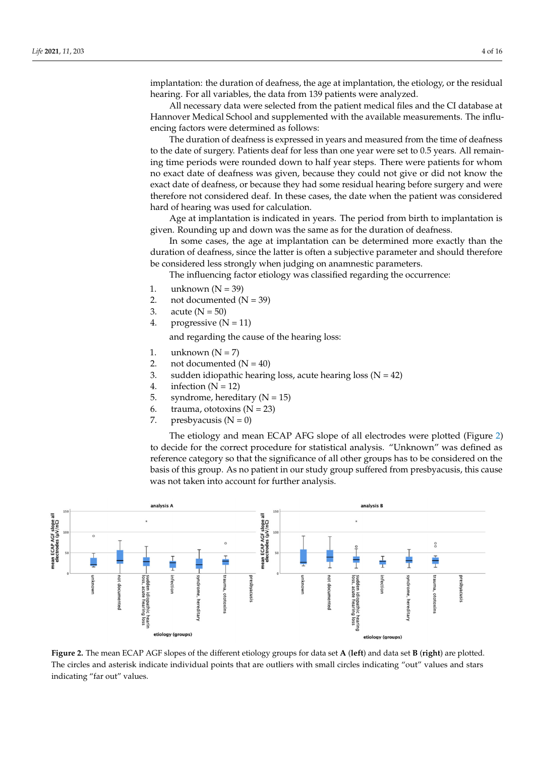implantation: the duration of deafness, the age at implantation, the etiology, or the residual hearing. For all variables, the data from 139 patients were analyzed.

All necessary data were selected from the patient medical files and the CI database at Hannover Medical School and supplemented with the available measurements. The influencing factors were determined as follows:

The duration of deafness is expressed in years and measured from the time of deafness to the date of surgery. Patients deaf for less than one year were set to 0.5 years. All remaining time periods were rounded down to half year steps. There were patients for whom no exact date of deafness was given, because they could not give or did not know the exact date of deafness, or because they had some residual hearing before surgery and were therefore not considered deaf. In these cases, the date when the patient was considered hard of hearing was used for calculation.

Age at implantation is indicated in years. The period from birth to implantation is given. Rounding up and down was the same as for the duration of deafness.

In some cases, the age at implantation can be determined more exactly than the duration of deafness, since the latter is often a subjective parameter and should therefore be considered less strongly when judging on anamnestic parameters.

The influencing factor etiology was classified regarding the occurrence:

- 1. unknown  $(N = 39)$
- 2. not documented  $(N = 39)$
- 3. acute ( $N = 50$ )
- 4. progressive  $(N = 11)$

and regarding the cause of the hearing loss:

- 1. unknown  $(N = 7)$
- 2. not documented  $(N = 40)$
- 3. sudden idiopathic hearing loss, acute hearing loss ( $N = 42$ )
- 4. infection  $(N = 12)$
- 5. syndrome, hereditary  $(N = 15)$
- 6. trauma, ototoxins  $(N = 23)$
- 7. presbyacusis  $(N = 0)$

The etiology and mean ECAP AFG slope of all electrodes were plotted (Figure 2) to decide for the correct procedure for statistical analysis. "Unknown" was defined as reference category so that the significance of all other groups has to be considered on the basis of this group. As no patient in our study group suffered from presbyacusis, this cause was not taken into account for further analysis.



**Figure 2.** The mean ECAP AGF slopes of the different etiology groups for data set **A** (**left**) and data set **B** (**right**) are plotted. The circles and asterisk indicate individual points that are outliers with small circles indicating "out" values and stars indicating "far out" values.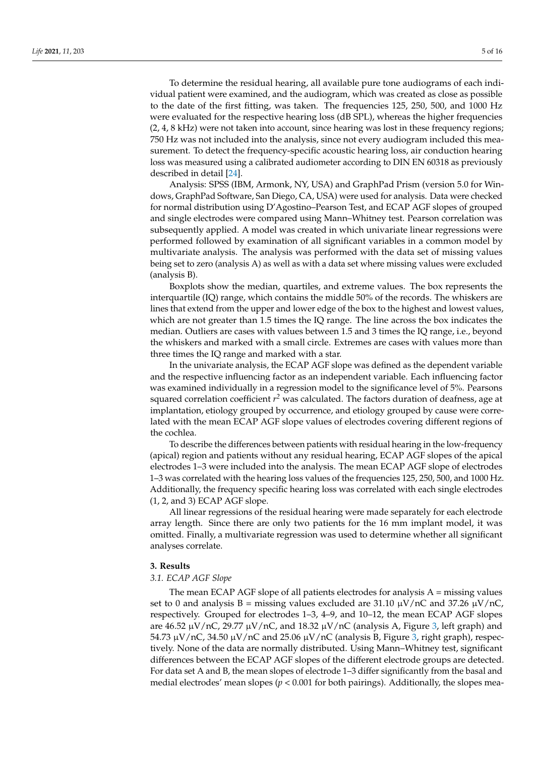To determine the residual hearing, all available pure tone audiograms of each individual patient were examined, and the audiogram, which was created as close as possible to the date of the first fitting, was taken. The frequencies 125, 250, 500, and 1000 Hz were evaluated for the respective hearing loss (dB SPL), whereas the higher frequencies (2, 4, 8 kHz) were not taken into account, since hearing was lost in these frequency regions; 750 Hz was not included into the analysis, since not every audiogram included this measurement. To detect the frequency-specific acoustic hearing loss, air conduction hearing loss was measured using a calibrated audiometer according to DIN EN 60318 as previously described in detail [24].

Analysis: SPSS (IBM, Armonk, NY, USA) and GraphPad Prism (version 5.0 for Windows, GraphPad Software, San Diego, CA, USA) were used for analysis. Data were checked for normal distribution using D'Agostino–Pearson Test, and ECAP AGF slopes of grouped and single electrodes were compared using Mann–Whitney test. Pearson correlation was subsequently applied. A model was created in which univariate linear regressions were performed followed by examination of all significant variables in a common model by multivariate analysis. The analysis was performed with the data set of missing values being set to zero (analysis A) as well as with a data set where missing values were excluded (analysis B).

Boxplots show the median, quartiles, and extreme values. The box represents the interquartile (IQ) range, which contains the middle 50% of the records. The whiskers are lines that extend from the upper and lower edge of the box to the highest and lowest values, which are not greater than 1.5 times the IQ range. The line across the box indicates the median. Outliers are cases with values between 1.5 and 3 times the IQ range, i.e., beyond the whiskers and marked with a small circle. Extremes are cases with values more than three times the IQ range and marked with a star.

In the univariate analysis, the ECAP AGF slope was defined as the dependent variable and the respective influencing factor as an independent variable. Each influencing factor was examined individually in a regression model to the significance level of 5%. Pearsons squared correlation coefficient *r <sup>2</sup>* was calculated. The factors duration of deafness, age at implantation, etiology grouped by occurrence, and etiology grouped by cause were correlated with the mean ECAP AGF slope values of electrodes covering different regions of the cochlea.

To describe the differences between patients with residual hearing in the low-frequency (apical) region and patients without any residual hearing, ECAP AGF slopes of the apical electrodes 1–3 were included into the analysis. The mean ECAP AGF slope of electrodes 1–3 was correlated with the hearing loss values of the frequencies 125, 250, 500, and 1000 Hz. Additionally, the frequency specific hearing loss was correlated with each single electrodes (1, 2, and 3) ECAP AGF slope.

All linear regressions of the residual hearing were made separately for each electrode array length. Since there are only two patients for the 16 mm implant model, it was omitted. Finally, a multivariate regression was used to determine whether all significant analyses correlate.

#### **3. Results**

#### *3.1. ECAP AGF Slope*

The mean ECAP AGF slope of all patients electrodes for analysis  $A =$  missing values set to 0 and analysis B = missing values excluded are 31.10  $\mu$ V/nC and 37.26  $\mu$ V/nC, respectively. Grouped for electrodes 1–3, 4–9, and 10–12, the mean ECAP AGF slopes are 46.52  $\mu$ V/nC, 29.77  $\mu$ V/nC, and 18.32  $\mu$ V/nC (analysis A, Figure 3, left graph) and 54.73  $\mu$ V/nC, 34.50  $\mu$ V/nC and 25.06  $\mu$ V/nC (analysis B, Figure 3, right graph), respectively. None of the data are normally distributed. Using Mann–Whitney test, significant differences between the ECAP AGF slopes of the different electrode groups are detected. For data set A and B, the mean slopes of electrode 1–3 differ significantly from the basal and medial electrodes' mean slopes (*p* < 0.001 for both pairings). Additionally, the slopes mea-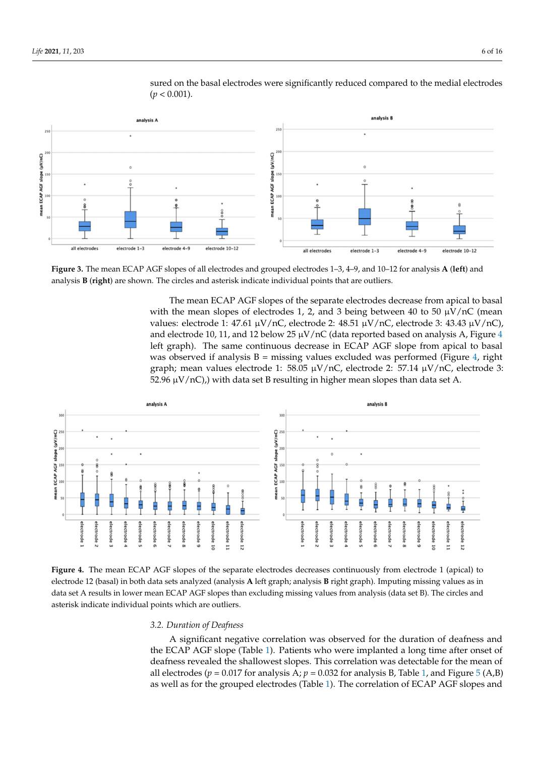

sured on the basal electrodes were significantly reduced compared to the medial electrodes  $(p < 0.001)$ .

**Figure 3.** The mean ECAP AGF slopes of all electrodes and grouped electrodes 1–3, 4–9, and 10–12 for analysis **A** (**left**) and analysis **B** (**right**) are shown. The circles and asterisk indicate individual points that are outliers.

The mean ECAP AGF slopes of the separate electrodes decrease from apical to basal with the mean slopes of electrodes 1, 2, and 3 being between 40 to 50  $\mu$ V/nC (mean values: electrode 1: 47.61  $\mu$ V/nC, electrode 2: 48.51  $\mu$ V/nC, electrode 3: 43.43  $\mu$ V/nC), and electrode 10, 11, and 12 below 25  $\mu$ V/nC (data reported based on analysis A, Figure 4 left graph). The same continuous decrease in ECAP AGF slope from apical to basal was observed if analysis  $B =$  missing values excluded was performed (Figure 4, right graph; mean values electrode 1: 58.05  $\mu$ V/nC, electrode 2: 57.14  $\mu$ V/nC, electrode 3: 52.96  $\mu$ V/nC), with data set B resulting in higher mean slopes than data set A.



**Figure 4.** The mean ECAP AGF slopes of the separate electrodes decreases continuously from electrode 1 (apical) to electrode 12 (basal) in both data sets analyzed (analysis **A** left graph; analysis **B** right graph). Imputing missing values as in data set A results in lower mean ECAP AGF slopes than excluding missing values from analysis (data set B). The circles and asterisk indicate individual points which are outliers.

#### *3.2. Duration of Deafness*

A significant negative correlation was observed for the duration of deafness and the ECAP AGF slope (Table 1). Patients who were implanted a long time after onset of deafness revealed the shallowest slopes. This correlation was detectable for the mean of all electrodes ( $p = 0.017$  for analysis A;  $p = 0.032$  for analysis B, Table 1, and Figure 5 (A,B) as well as for the grouped electrodes (Table 1). The correlation of ECAP AGF slopes and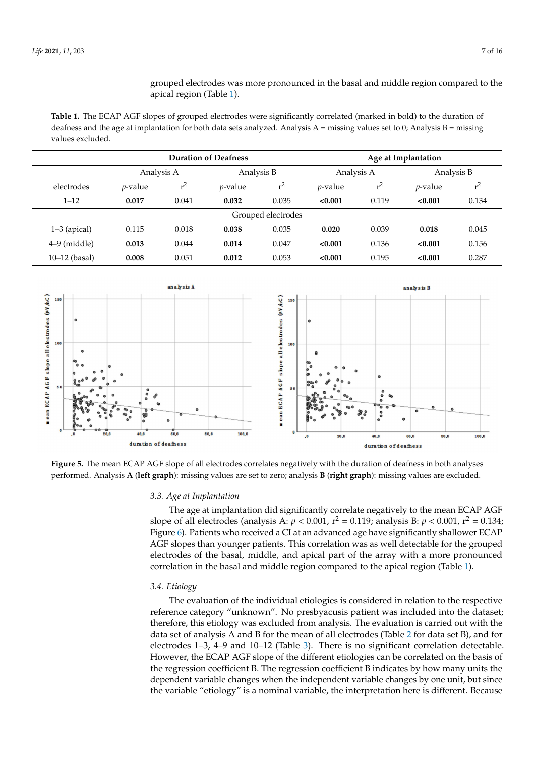grouped electrodes was more pronounced in the basal and middle region compared to the apical region (Table 1).

**Table 1.** The ECAP AGF slopes of grouped electrodes were significantly correlated (marked in bold) to the duration of deafness and the age at implantation for both data sets analyzed. Analysis  $A =$  missing values set to 0; Analysis  $B =$  missing values excluded.

|                    | <b>Duration of Deafness</b> |       |                 |       | Age at Implantation |                |                 |       |
|--------------------|-----------------------------|-------|-----------------|-------|---------------------|----------------|-----------------|-------|
|                    | Analysis A                  |       | Analysis B      |       | Analysis A          |                | Analysis B      |       |
| electrodes         | <i>p</i> -value             | $r^2$ | <i>p</i> -value | $r^2$ | <i>p</i> -value     | r <sup>2</sup> | <i>p</i> -value | $r^2$ |
| $1 - 12$           | 0.017                       | 0.041 | 0.032           | 0.035 | < 0.001             | 0.119          | < 0.001         | 0.134 |
| Grouped electrodes |                             |       |                 |       |                     |                |                 |       |
| $1-3$ (apical)     | 0.115                       | 0.018 | 0.038           | 0.035 | 0.020               | 0.039          | 0.018           | 0.045 |
| $4-9$ (middle)     | 0.013                       | 0.044 | 0.014           | 0.047 | < 0.001             | 0.136          | < 0.001         | 0.156 |
| $10-12$ (basal)    | 0.008                       | 0.051 | 0.012           | 0.053 | < 0.001             | 0.195          | < 0.001         | 0.287 |



**Figure 5.** The mean ECAP AGF slope of all electrodes correlates negatively with the duration of deafness in both analyses performed. Analysis **A** (**left graph**): missing values are set to zero; analysis **B** (**right graph**): missing values are excluded.

#### *3.3. Age at Implantation*

The age at implantation did significantly correlate negatively to the mean ECAP AGF slope of all electrodes (analysis A:  $p < 0.001$ ,  $r^2 = 0.119$ ; analysis B:  $p < 0.001$ ,  $r^2 = 0.134$ ; Figure 6). Patients who received a CI at an advanced age have significantly shallower ECAP AGF slopes than younger patients. This correlation was as well detectable for the grouped electrodes of the basal, middle, and apical part of the array with a more pronounced correlation in the basal and middle region compared to the apical region (Table 1).

#### *3.4. Etiology*

The evaluation of the individual etiologies is considered in relation to the respective reference category "unknown". No presbyacusis patient was included into the dataset; therefore, this etiology was excluded from analysis. The evaluation is carried out with the data set of analysis A and B for the mean of all electrodes (Table 2 for data set B), and for electrodes 1–3, 4–9 and 10–12 (Table 3). There is no significant correlation detectable. However, the ECAP AGF slope of the different etiologies can be correlated on the basis of the regression coefficient B. The regression coefficient B indicates by how many units the dependent variable changes when the independent variable changes by one unit, but since the variable "etiology" is a nominal variable, the interpretation here is different. Because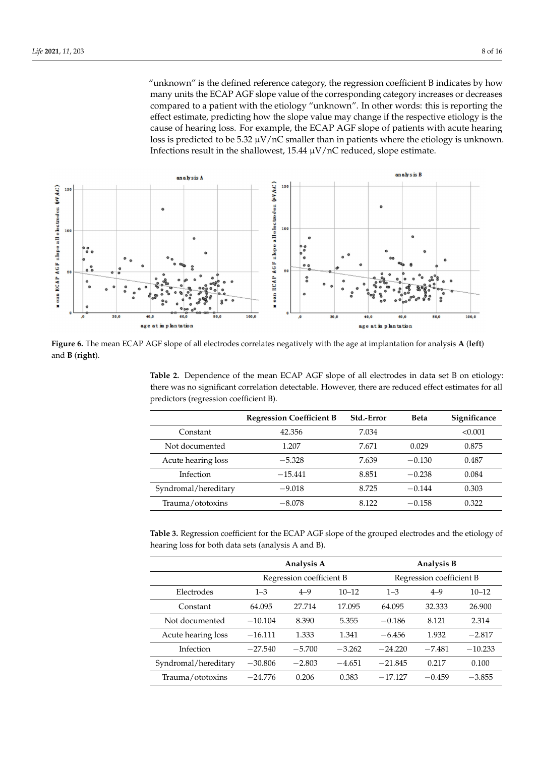"unknown" is the defined reference category, the regression coefficient B indicates by how many units the ECAP AGF slope value of the corresponding category increases or decreases compared to a patient with the etiology "unknown". In other words: this is reporting the effect estimate, predicting how the slope value may change if the respective etiology is the cause of hearing loss. For example, the ECAP AGF slope of patients with acute hearing loss is predicted to be 5.32  $\mu$ V/nC smaller than in patients where the etiology is unknown. Infections result in the shallowest,  $15.44 \mu V/nC$  reduced, slope estimate.



**Figure 6.** The mean ECAP AGF slope of all electrodes correlates negatively with the age at implantation for analysis **A** (**left**) and **B** (**right**).

**Table 2.** Dependence of the mean ECAP AGF slope of all electrodes in data set B on etiology: there was no significant correlation detectable. However, there are reduced effect estimates for all predictors (regression coefficient B).

|                      | <b>Regression Coefficient B</b> | Std.-Error | <b>Beta</b> | Significance |
|----------------------|---------------------------------|------------|-------------|--------------|
| Constant             | 42.356                          | 7.034      |             | < 0.001      |
| Not documented       | 1.207                           | 7.671      | 0.029       | 0.875        |
| Acute hearing loss   | $-5.328$                        | 7.639      | $-0.130$    | 0.487        |
| Infection            | $-15.441$                       | 8.851      | $-0.238$    | 0.084        |
| Syndromal/hereditary | $-9.018$                        | 8.725      | $-0.144$    | 0.303        |
| Trauma/ototoxins     | $-8.078$                        | 8.122      | $-0.158$    | 0.322        |

**Table 3.** Regression coefficient for the ECAP AGF slope of the grouped electrodes and the etiology of hearing loss for both data sets (analysis A and B).

|                      | Analysis A               |          |           | Analysis B               |          |           |  |
|----------------------|--------------------------|----------|-----------|--------------------------|----------|-----------|--|
|                      | Regression coefficient B |          |           | Regression coefficient B |          |           |  |
| Electrodes           | $1 - 3$                  | $4 - 9$  | $10 - 12$ | $1 - 3$                  | $4 - 9$  | $10 - 12$ |  |
| Constant             | 64.095                   | 27.714   | 17.095    | 64.095                   | 32.333   | 26.900    |  |
| Not documented       | $-10.104$                | 8.390    | 5.355     | $-0.186$                 | 8.121    | 2.314     |  |
| Acute hearing loss   | $-16.111$                | 1.333    | 1.341     | $-6.456$                 | 1.932    | $-2.817$  |  |
| Infection            | $-27.540$                | $-5.700$ | $-3.262$  | $-24.220$                | $-7.481$ | $-10.233$ |  |
| Syndromal/hereditary | $-30.806$                | $-2.803$ | $-4.651$  | $-21.845$                | 0.217    | 0.100     |  |
| Trauma/ototoxins     | $-24.776$                | 0.206    | 0.383     | $-17.127$                | $-0.459$ | $-3.855$  |  |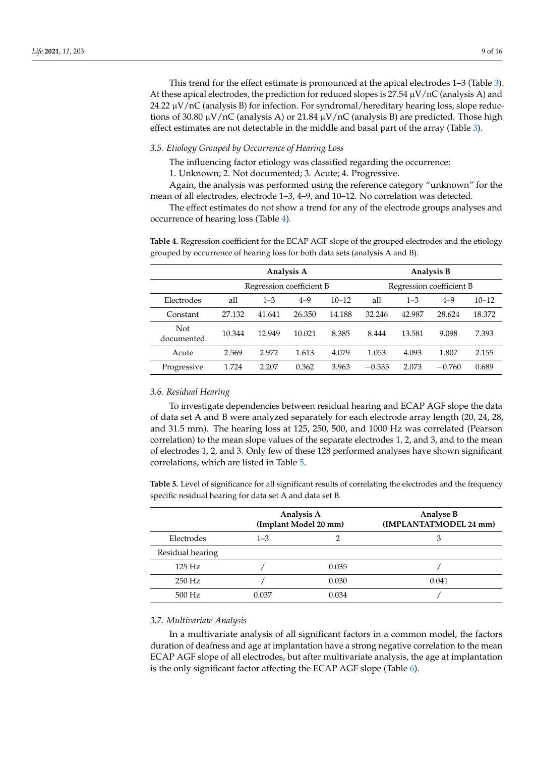This trend for the effect estimate is pronounced at the apical electrodes 1–3 (Table 3). At these apical electrodes, the prediction for reduced slopes is  $27.54 \mu V/nC$  (analysis A) and 24.22  $\mu$ V/nC (analysis B) for infection. For syndromal/hereditary hearing loss, slope reductions of 30.80  $\mu$ V/nC (analysis A) or 21.84  $\mu$ V/nC (analysis B) are predicted. Those high effect estimates are not detectable in the middle and basal part of the array (Table 3).

### *3.5. Etiology Grouped by Occurrence of Hearing Loss*

The influencing factor etiology was classified regarding the occurrence:

1. Unknown; 2. Not documented; 3. Acute; 4. Progressive.

Again, the analysis was performed using the reference category "unknown" for the mean of all electrodes, electrode 1–3, 4–9, and 10–12. No correlation was detected.

The effect estimates do not show a trend for any of the electrode groups analyses and occurrence of hearing loss (Table 4).

**Table 4.** Regression coefficient for the ECAP AGF slope of the grouped electrodes and the etiology grouped by occurrence of hearing loss for both data sets (analysis A and B).

|                   | Analysis A               |         |         |           | Analysis B               |         |          |           |
|-------------------|--------------------------|---------|---------|-----------|--------------------------|---------|----------|-----------|
|                   | Regression coefficient B |         |         |           | Regression coefficient B |         |          |           |
| Electrodes        | all                      | $1 - 3$ | $4 - 9$ | $10 - 12$ | all                      | $1 - 3$ | $4 - 9$  | $10 - 12$ |
| Constant          | 27.132                   | 41.641  | 26.350  | 14.188    | 32.246                   | 42.987  | 28.624   | 18.372    |
| Not<br>documented | 10.344                   | 12.949  | 10.021  | 8.385     | 8.444                    | 13.581  | 9.098    | 7.393     |
| Acute             | 2.569                    | 2.972   | 1.613   | 4.079     | 1.053                    | 4.093   | 1.807    | 2.155     |
| Progressive       | 1.724                    | 2.207   | 0.362   | 3.963     | $-0.335$                 | 2.073   | $-0.760$ | 0.689     |

#### *3.6. Residual Hearing*

To investigate dependencies between residual hearing and ECAP AGF slope the data of data set A and B were analyzed separately for each electrode array length (20, 24, 28, and 31.5 mm). The hearing loss at 125, 250, 500, and 1000 Hz was correlated (Pearson correlation) to the mean slope values of the separate electrodes 1, 2, and 3, and to the mean of electrodes 1, 2, and 3. Only few of these 128 performed analyses have shown significant correlations, which are listed in Table 5.

**Table 5.** Level of significance for all significant results of correlating the electrodes and the frequency specific residual hearing for data set A and data set B.

|                  | Analysis A<br>(Implant Model 20 mm) |       | Analyse B<br>(IMPLANTATMODEL 24 mm) |
|------------------|-------------------------------------|-------|-------------------------------------|
| Electrodes       | $1 - 3$                             |       | З                                   |
| Residual hearing |                                     |       |                                     |
| $125$ Hz         |                                     | 0.035 |                                     |
| $250$ Hz         |                                     | 0.030 | 0.041                               |
| 500 Hz           | 0.037                               | 0.034 |                                     |

#### *3.7. Multivariate Analysis*

In a multivariate analysis of all significant factors in a common model, the factors duration of deafness and age at implantation have a strong negative correlation to the mean ECAP AGF slope of all electrodes, but after multivariate analysis, the age at implantation is the only significant factor affecting the ECAP AGF slope (Table 6).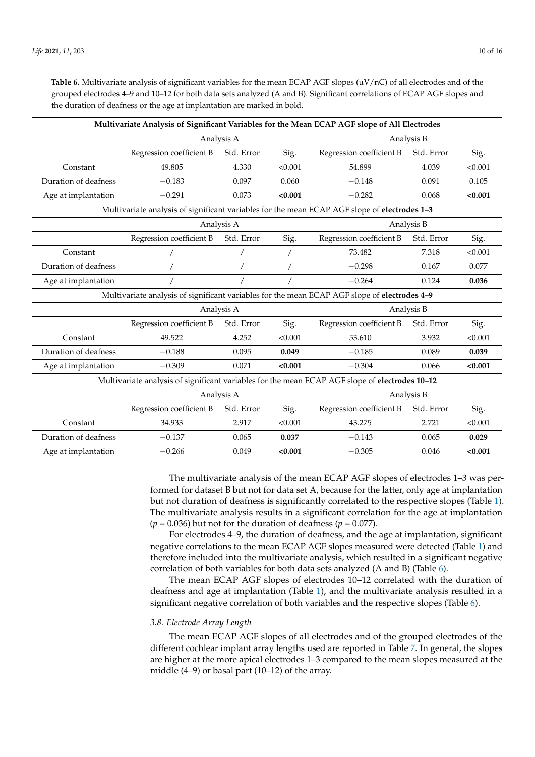**Table 6.** Multivariate analysis of significant variables for the mean ECAP AGF slopes  $(\mu V/nC)$  of all electrodes and of the grouped electrodes 4–9 and 10–12 for both data sets analyzed (A and B). Significant correlations of ECAP AGF slopes and the duration of deafness or the age at implantation are marked in bold.

| Multivariate Analysis of Significant Variables for the Mean ECAP AGF slope of All Electrodes   |                          |                                                              |         |                                                                                              |            |         |  |  |
|------------------------------------------------------------------------------------------------|--------------------------|--------------------------------------------------------------|---------|----------------------------------------------------------------------------------------------|------------|---------|--|--|
|                                                                                                |                          | Analysis A                                                   |         |                                                                                              | Analysis B |         |  |  |
|                                                                                                | Regression coefficient B | Std. Error                                                   | Sig.    | Regression coefficient B                                                                     | Std. Error | Sig.    |  |  |
| Constant                                                                                       | 49.805                   | 4.330                                                        | < 0.001 | 54.899                                                                                       | 4.039      | < 0.001 |  |  |
| Duration of deafness                                                                           | $-0.183$                 | 0.097                                                        | 0.060   | $-0.148$                                                                                     | 0.091      | 0.105   |  |  |
| Age at implantation                                                                            | $-0.291$                 | 0.073                                                        | < 0.001 | $-0.282$                                                                                     | 0.068      | < 0.001 |  |  |
|                                                                                                |                          |                                                              |         | Multivariate analysis of significant variables for the mean ECAP AGF slope of electrodes 1-3 |            |         |  |  |
|                                                                                                |                          | Analysis A                                                   |         |                                                                                              | Analysis B |         |  |  |
|                                                                                                | Regression coefficient B | Std. Error                                                   | Sig.    | Regression coefficient B                                                                     | Std. Error | Sig.    |  |  |
| Constant                                                                                       |                          |                                                              |         | 73.482                                                                                       | 7.318      | < 0.001 |  |  |
| Duration of deafness                                                                           |                          |                                                              |         | $-0.298$                                                                                     | 0.167      | 0.077   |  |  |
| Age at implantation                                                                            |                          |                                                              |         | $-0.264$                                                                                     | 0.124      | 0.036   |  |  |
| Multivariate analysis of significant variables for the mean ECAP AGF slope of electrodes 4-9   |                          |                                                              |         |                                                                                              |            |         |  |  |
|                                                                                                | Analysis B<br>Analysis A |                                                              |         |                                                                                              |            |         |  |  |
|                                                                                                | Regression coefficient B | Std. Error<br>Sig.<br>Regression coefficient B<br>Std. Error |         |                                                                                              |            |         |  |  |
| Constant                                                                                       | 49.522                   | 4.252                                                        | < 0.001 | 53.610                                                                                       | 3.932      | < 0.001 |  |  |
| Duration of deafness                                                                           | $-0.188$                 | 0.095                                                        | 0.049   | $-0.185$                                                                                     | 0.089      | 0.039   |  |  |
| Age at implantation                                                                            | $-0.309$                 | 0.071                                                        | < 0.001 | $-0.304$                                                                                     | 0.066      | < 0.001 |  |  |
| Multivariate analysis of significant variables for the mean ECAP AGF slope of electrodes 10-12 |                          |                                                              |         |                                                                                              |            |         |  |  |
|                                                                                                |                          | Analysis A                                                   |         | Analysis B                                                                                   |            |         |  |  |
|                                                                                                | Regression coefficient B | Std. Error                                                   | Sig.    | Regression coefficient B                                                                     | Std. Error | Sig.    |  |  |
| Constant                                                                                       | 34.933                   | 2.917                                                        | < 0.001 | 43.275                                                                                       | 2.721      | < 0.001 |  |  |
| Duration of deafness                                                                           | $-0.137$                 | 0.065                                                        | 0.037   | $-0.143$                                                                                     | 0.065      | 0.029   |  |  |
| Age at implantation                                                                            | $-0.266$                 | 0.049                                                        | < 0.001 | $-0.305$                                                                                     | 0.046      | < 0.001 |  |  |

The multivariate analysis of the mean ECAP AGF slopes of electrodes 1–3 was performed for dataset B but not for data set A, because for the latter, only age at implantation but not duration of deafness is significantly correlated to the respective slopes (Table 1). The multivariate analysis results in a significant correlation for the age at implantation ( $p = 0.036$ ) but not for the duration of deafness ( $p = 0.077$ ).

For electrodes 4–9, the duration of deafness, and the age at implantation, significant negative correlations to the mean ECAP AGF slopes measured were detected (Table 1) and therefore included into the multivariate analysis, which resulted in a significant negative correlation of both variables for both data sets analyzed (A and B) (Table 6).

The mean ECAP AGF slopes of electrodes 10–12 correlated with the duration of deafness and age at implantation (Table 1), and the multivariate analysis resulted in a significant negative correlation of both variables and the respective slopes (Table 6).

#### *3.8. Electrode Array Length*

The mean ECAP AGF slopes of all electrodes and of the grouped electrodes of the different cochlear implant array lengths used are reported in Table 7. In general, the slopes are higher at the more apical electrodes 1–3 compared to the mean slopes measured at the middle (4–9) or basal part (10–12) of the array.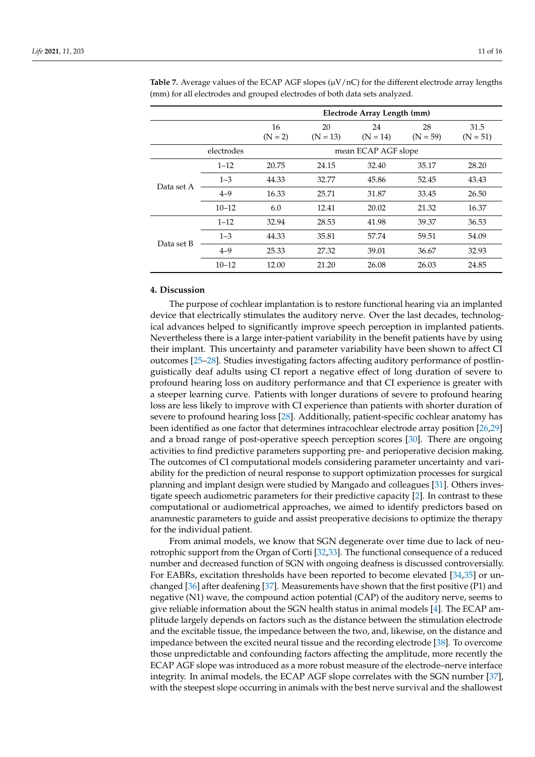|            |            |                 |                  | Electrode Array Length (mm) |                  |                    |
|------------|------------|-----------------|------------------|-----------------------------|------------------|--------------------|
|            |            | 16<br>$(N = 2)$ | 20<br>$(N = 13)$ | 24<br>$(N = 14)$            | 28<br>$(N = 59)$ | 31.5<br>$(N = 51)$ |
|            | electrodes |                 |                  | mean ECAP AGF slope         |                  |                    |
| Data set A | $1 - 12$   | 20.75           | 24.15            | 32.40                       | 35.17            | 28.20              |
|            | $1 - 3$    | 44.33           | 32.77            | 45.86                       | 52.45            | 43.43              |
|            | $4 - 9$    | 16.33           | 25.71            | 31.87                       | 33.45            | 26.50              |
|            | $10 - 12$  | 6.0             | 12.41            | 20.02                       | 21.32            | 16.37              |
| Data set B | $1 - 12$   | 32.94           | 28.53            | 41.98                       | 39.37            | 36.53              |
|            | $1 - 3$    | 44.33           | 35.81            | 57.74                       | 59.51            | 54.09              |
|            | $4 - 9$    | 25.33           | 27.32            | 39.01                       | 36.67            | 32.93              |
|            | $10 - 12$  | 12.00           | 21.20            | 26.08                       | 26.03            | 24.85              |

**Table 7.** Average values of the ECAP AGF slopes  $(\mu V/nC)$  for the different electrode array lengths (mm) for all electrodes and grouped electrodes of both data sets analyzed.

## **4. Discussion**

The purpose of cochlear implantation is to restore functional hearing via an implanted device that electrically stimulates the auditory nerve. Over the last decades, technological advances helped to significantly improve speech perception in implanted patients. Nevertheless there is a large inter-patient variability in the benefit patients have by using their implant. This uncertainty and parameter variability have been shown to affect CI outcomes [25–28]. Studies investigating factors affecting auditory performance of postlinguistically deaf adults using CI report a negative effect of long duration of severe to profound hearing loss on auditory performance and that CI experience is greater with a steeper learning curve. Patients with longer durations of severe to profound hearing loss are less likely to improve with CI experience than patients with shorter duration of severe to profound hearing loss [28]. Additionally, patient-specific cochlear anatomy has been identified as one factor that determines intracochlear electrode array position [26,29] and a broad range of post-operative speech perception scores [30]. There are ongoing activities to find predictive parameters supporting pre- and perioperative decision making. The outcomes of CI computational models considering parameter uncertainty and variability for the prediction of neural response to support optimization processes for surgical planning and implant design were studied by Mangado and colleagues [31]. Others investigate speech audiometric parameters for their predictive capacity [2]. In contrast to these computational or audiometrical approaches, we aimed to identify predictors based on anamnestic parameters to guide and assist preoperative decisions to optimize the therapy for the individual patient.

From animal models, we know that SGN degenerate over time due to lack of neurotrophic support from the Organ of Corti [32,33]. The functional consequence of a reduced number and decreased function of SGN with ongoing deafness is discussed controversially. For EABRs, excitation thresholds have been reported to become elevated [34,35] or unchanged [36] after deafening [37]. Measurements have shown that the first positive (P1) and negative (N1) wave, the compound action potential (CAP) of the auditory nerve, seems to give reliable information about the SGN health status in animal models [4]. The ECAP amplitude largely depends on factors such as the distance between the stimulation electrode and the excitable tissue, the impedance between the two, and, likewise, on the distance and impedance between the excited neural tissue and the recording electrode [38]. To overcome those unpredictable and confounding factors affecting the amplitude, more recently the ECAP AGF slope was introduced as a more robust measure of the electrode–nerve interface integrity. In animal models, the ECAP AGF slope correlates with the SGN number [37], with the steepest slope occurring in animals with the best nerve survival and the shallowest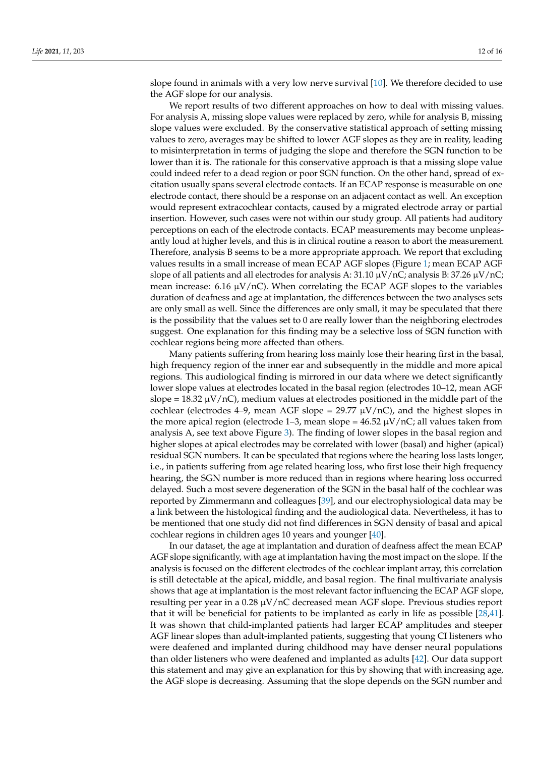slope found in animals with a very low nerve survival [10]. We therefore decided to use the AGF slope for our analysis.

We report results of two different approaches on how to deal with missing values. For analysis A, missing slope values were replaced by zero, while for analysis B, missing slope values were excluded. By the conservative statistical approach of setting missing values to zero, averages may be shifted to lower AGF slopes as they are in reality, leading to misinterpretation in terms of judging the slope and therefore the SGN function to be lower than it is. The rationale for this conservative approach is that a missing slope value could indeed refer to a dead region or poor SGN function. On the other hand, spread of excitation usually spans several electrode contacts. If an ECAP response is measurable on one electrode contact, there should be a response on an adjacent contact as well. An exception would represent extracochlear contacts, caused by a migrated electrode array or partial insertion. However, such cases were not within our study group. All patients had auditory perceptions on each of the electrode contacts. ECAP measurements may become unpleasantly loud at higher levels, and this is in clinical routine a reason to abort the measurement. Therefore, analysis B seems to be a more appropriate approach. We report that excluding values results in a small increase of mean ECAP AGF slopes (Figure 1; mean ECAP AGF slope of all patients and all electrodes for analysis A:  $31.10 \mu V/nC$ ; analysis B:  $37.26 \mu V/nC$ ; mean increase: 6.16  $\mu$ V/nC). When correlating the ECAP AGF slopes to the variables duration of deafness and age at implantation, the differences between the two analyses sets are only small as well. Since the differences are only small, it may be speculated that there is the possibility that the values set to 0 are really lower than the neighboring electrodes suggest. One explanation for this finding may be a selective loss of SGN function with cochlear regions being more affected than others.

Many patients suffering from hearing loss mainly lose their hearing first in the basal, high frequency region of the inner ear and subsequently in the middle and more apical regions. This audiological finding is mirrored in our data where we detect significantly lower slope values at electrodes located in the basal region (electrodes 10–12, mean AGF slope = 18.32  $\mu$ V/nC), medium values at electrodes positioned in the middle part of the cochlear (electrodes 4–9, mean AGF slope =  $29.77 \mu V/nC$ ), and the highest slopes in the more apical region (electrode 1–3, mean slope =  $46.52 \mu V/nC$ ; all values taken from analysis A, see text above Figure 3). The finding of lower slopes in the basal region and higher slopes at apical electrodes may be correlated with lower (basal) and higher (apical) residual SGN numbers. It can be speculated that regions where the hearing loss lasts longer, i.e., in patients suffering from age related hearing loss, who first lose their high frequency hearing, the SGN number is more reduced than in regions where hearing loss occurred delayed. Such a most severe degeneration of the SGN in the basal half of the cochlear was reported by Zimmermann and colleagues [39], and our electrophysiological data may be a link between the histological finding and the audiological data. Nevertheless, it has to be mentioned that one study did not find differences in SGN density of basal and apical cochlear regions in children ages 10 years and younger [40].

In our dataset, the age at implantation and duration of deafness affect the mean ECAP AGF slope significantly, with age at implantation having the most impact on the slope. If the analysis is focused on the different electrodes of the cochlear implant array, this correlation is still detectable at the apical, middle, and basal region. The final multivariate analysis shows that age at implantation is the most relevant factor influencing the ECAP AGF slope, resulting per year in a 0.28 µV/nC decreased mean AGF slope. Previous studies report that it will be beneficial for patients to be implanted as early in life as possible [28,41]. It was shown that child-implanted patients had larger ECAP amplitudes and steeper AGF linear slopes than adult-implanted patients, suggesting that young CI listeners who were deafened and implanted during childhood may have denser neural populations than older listeners who were deafened and implanted as adults [42]. Our data support this statement and may give an explanation for this by showing that with increasing age, the AGF slope is decreasing. Assuming that the slope depends on the SGN number and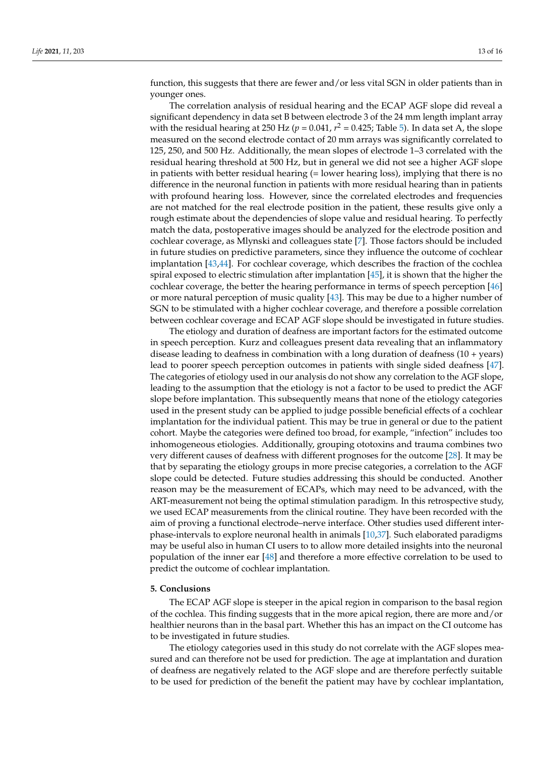function, this suggests that there are fewer and/or less vital SGN in older patients than in younger ones.

The correlation analysis of residual hearing and the ECAP AGF slope did reveal a significant dependency in data set B between electrode 3 of the 24 mm length implant array with the residual hearing at 250 Hz ( $p = 0.041$ ,  $r^2 = 0.425$ ; Table 5). In data set A, the slope measured on the second electrode contact of 20 mm arrays was significantly correlated to 125, 250, and 500 Hz. Additionally, the mean slopes of electrode 1–3 correlated with the residual hearing threshold at 500 Hz, but in general we did not see a higher AGF slope in patients with better residual hearing (= lower hearing loss), implying that there is no difference in the neuronal function in patients with more residual hearing than in patients with profound hearing loss. However, since the correlated electrodes and frequencies are not matched for the real electrode position in the patient, these results give only a rough estimate about the dependencies of slope value and residual hearing. To perfectly match the data, postoperative images should be analyzed for the electrode position and cochlear coverage, as Mlynski and colleagues state [7]. Those factors should be included in future studies on predictive parameters, since they influence the outcome of cochlear implantation [43,44]. For cochlear coverage, which describes the fraction of the cochlea spiral exposed to electric stimulation after implantation [45], it is shown that the higher the cochlear coverage, the better the hearing performance in terms of speech perception [46] or more natural perception of music quality [43]. This may be due to a higher number of SGN to be stimulated with a higher cochlear coverage, and therefore a possible correlation between cochlear coverage and ECAP AGF slope should be investigated in future studies.

The etiology and duration of deafness are important factors for the estimated outcome in speech perception. Kurz and colleagues present data revealing that an inflammatory disease leading to deafness in combination with a long duration of deafness (10 + years) lead to poorer speech perception outcomes in patients with single sided deafness [47]. The categories of etiology used in our analysis do not show any correlation to the AGF slope, leading to the assumption that the etiology is not a factor to be used to predict the AGF slope before implantation. This subsequently means that none of the etiology categories used in the present study can be applied to judge possible beneficial effects of a cochlear implantation for the individual patient. This may be true in general or due to the patient cohort. Maybe the categories were defined too broad, for example, "infection" includes too inhomogeneous etiologies. Additionally, grouping ototoxins and trauma combines two very different causes of deafness with different prognoses for the outcome [28]. It may be that by separating the etiology groups in more precise categories, a correlation to the AGF slope could be detected. Future studies addressing this should be conducted. Another reason may be the measurement of ECAPs, which may need to be advanced, with the ART-measurement not being the optimal stimulation paradigm. In this retrospective study, we used ECAP measurements from the clinical routine. They have been recorded with the aim of proving a functional electrode–nerve interface. Other studies used different interphase-intervals to explore neuronal health in animals [10,37]. Such elaborated paradigms may be useful also in human CI users to to allow more detailed insights into the neuronal population of the inner ear [48] and therefore a more effective correlation to be used to predict the outcome of cochlear implantation.

#### **5. Conclusions**

The ECAP AGF slope is steeper in the apical region in comparison to the basal region of the cochlea. This finding suggests that in the more apical region, there are more and/or healthier neurons than in the basal part. Whether this has an impact on the CI outcome has to be investigated in future studies.

The etiology categories used in this study do not correlate with the AGF slopes measured and can therefore not be used for prediction. The age at implantation and duration of deafness are negatively related to the AGF slope and are therefore perfectly suitable to be used for prediction of the benefit the patient may have by cochlear implantation,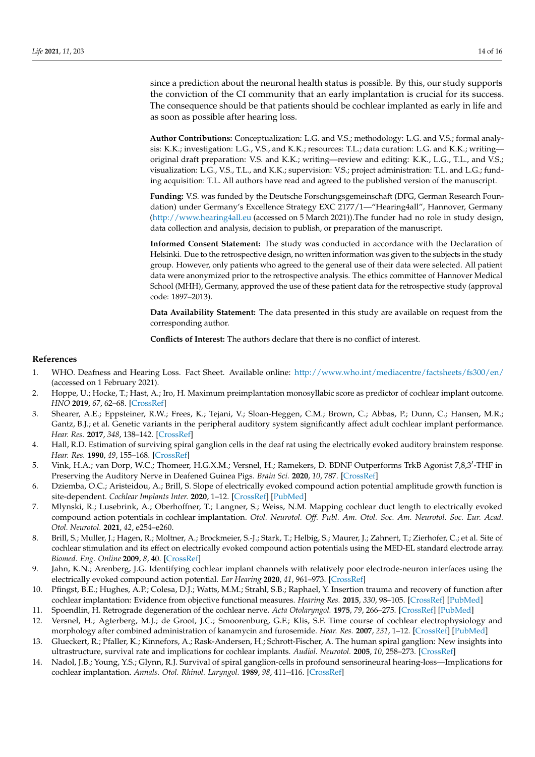since a prediction about the neuronal health status is possible. By this, our study supports the conviction of the CI community that an early implantation is crucial for its success. The consequence should be that patients should be cochlear implanted as early in life and as soon as possible after hearing loss.

**Author Contributions:** Conceptualization: L.G. and V.S.; methodology: L.G. and V.S.; formal analysis: K.K.; investigation: L.G., V.S., and K.K.; resources: T.L.; data curation: L.G. and K.K.; writing original draft preparation: V.S. and K.K.; writing—review and editing: K.K., L.G., T.L., and V.S.; visualization: L.G., V.S., T.L., and K.K.; supervision: V.S.; project administration: T.L. and L.G.; funding acquisition: T.L. All authors have read and agreed to the published version of the manuscript.

**Funding:** V.S. was funded by the Deutsche Forschungsgemeinschaft (DFG, German Research Foundation) under Germany's Excellence Strategy EXC 2177/1—"Hearing4all", Hannover, Germany (http://www.hearing4all.eu (accessed on 5 March 2021)).The funder had no role in study design, data collection and analysis, decision to publish, or preparation of the manuscript.

**Informed Consent Statement:** The study was conducted in accordance with the Declaration of Helsinki. Due to the retrospective design, no written information was given to the subjects in the study group. However, only patients who agreed to the general use of their data were selected. All patient data were anonymized prior to the retrospective analysis. The ethics committee of Hannover Medical School (MHH), Germany, approved the use of these patient data for the retrospective study (approval code: 1897–2013).

**Data Availability Statement:** The data presented in this study are available on request from the corresponding author.

**Conflicts of Interest:** The authors declare that there is no conflict of interest.

#### **References**

- 1. WHO. Deafness and Hearing Loss. Fact Sheet. Available online: http://www.who.int/mediacentre/factsheets/fs300/en/ (accessed on 1 February 2021).
- 2. Hoppe, U.; Hocke, T.; Hast, A.; Iro, H. Maximum preimplantation monosyllabic score as predictor of cochlear implant outcome. *HNO* **2019**, *67*, 62–68. [CrossRef]
- 3. Shearer, A.E.; Eppsteiner, R.W.; Frees, K.; Tejani, V.; Sloan-Heggen, C.M.; Brown, C.; Abbas, P.; Dunn, C.; Hansen, M.R.; Gantz, B.J.; et al. Genetic variants in the peripheral auditory system significantly affect adult cochlear implant performance. *Hear. Res.* **2017**, *348*, 138–142. [CrossRef]
- 4. Hall, R.D. Estimation of surviving spiral ganglion cells in the deaf rat using the electrically evoked auditory brainstem response. *Hear. Res.* **1990**, *49*, 155–168. [CrossRef]
- 5. Vink, H.A.; van Dorp, W.C.; Thomeer, H.G.X.M.; Versnel, H.; Ramekers, D. BDNF Outperforms TrkB Agonist 7,8,3'-THF in Preserving the Auditory Nerve in Deafened Guinea Pigs. *Brain Sci.* **2020**, *10*, 787. [CrossRef]
- 6. Dziemba, O.C.; Aristeidou, A.; Brill, S. Slope of electrically evoked compound action potential amplitude growth function is site-dependent. *Cochlear Implants Inter.* **2020**, 1–12. [CrossRef] [PubMed]
- 7. Mlynski, R.; Lusebrink, A.; Oberhoffner, T.; Langner, S.; Weiss, N.M. Mapping cochlear duct length to electrically evoked compound action potentials in cochlear implantation. *Otol. Neurotol. Off. Publ. Am. Otol. Soc. Am. Neurotol. Soc. Eur. Acad. Otol. Neurotol.* **2021**, *42*, e254–e260.
- 8. Brill, S.; Muller, J.; Hagen, R.; Moltner, A.; Brockmeier, S.-J.; Stark, T.; Helbig, S.; Maurer, J.; Zahnert, T.; Zierhofer, C.; et al. Site of cochlear stimulation and its effect on electrically evoked compound action potentials using the MED-EL standard electrode array. *Biomed. Eng. Online* **2009**, *8*, 40. [CrossRef]
- 9. Jahn, K.N.; Arenberg, J.G. Identifying cochlear implant channels with relatively poor electrode-neuron interfaces using the electrically evoked compound action potential. *Ear Hearing* **2020**, *41*, 961–973. [CrossRef]
- 10. Pfingst, B.E.; Hughes, A.P.; Colesa, D.J.; Watts, M.M.; Strahl, S.B.; Raphael, Y. Insertion trauma and recovery of function after cochlear implantation: Evidence from objective functional measures. *Hearing Res.* **2015**, *330*, 98–105. [CrossRef] [PubMed]
- 11. Spoendlin, H. Retrograde degeneration of the cochlear nerve. *Acta Otolaryngol.* **1975**, *79*, 266–275. [CrossRef] [PubMed]
- 12. Versnel, H.; Agterberg, M.J.; de Groot, J.C.; Smoorenburg, G.F.; Klis, S.F. Time course of cochlear electrophysiology and morphology after combined administration of kanamycin and furosemide. *Hear. Res.* **2007**, *231*, 1–12. [CrossRef] [PubMed]
- 13. Glueckert, R.; Pfaller, K.; Kinnefors, A.; Rask-Andersen, H.; Schrott-Fischer, A. The human spiral ganglion: New insights into ultrastructure, survival rate and implications for cochlear implants. *Audiol. Neurotol.* **2005**, *10*, 258–273. [CrossRef]
- 14. Nadol, J.B.; Young, Y.S.; Glynn, R.J. Survival of spiral ganglion-cells in profound sensorineural hearing-loss—Implications for cochlear implantation. *Annals. Otol. Rhinol. Laryngol.* **1989**, *98*, 411–416. [CrossRef]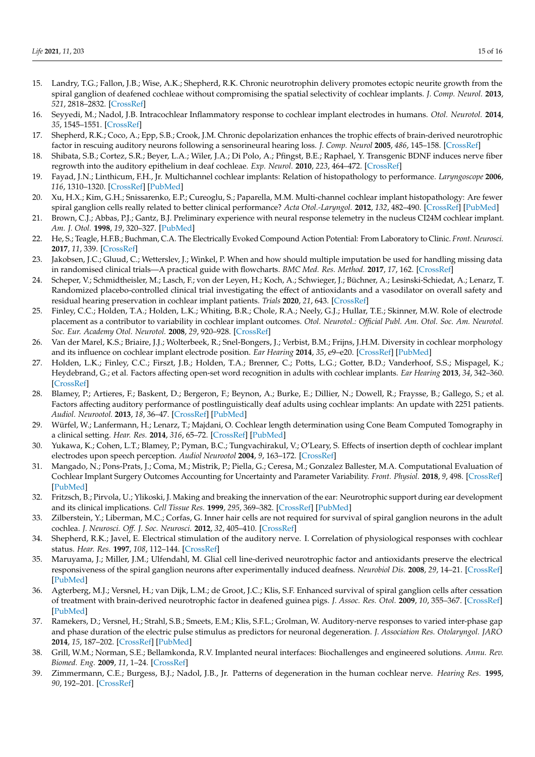- 15. Landry, T.G.; Fallon, J.B.; Wise, A.K.; Shepherd, R.K. Chronic neurotrophin delivery promotes ectopic neurite growth from the spiral ganglion of deafened cochleae without compromising the spatial selectivity of cochlear implants. *J. Comp. Neurol.* **2013**, *521*, 2818–2832. [CrossRef]
- 16. Seyyedi, M.; Nadol, J.B. Intracochlear Inflammatory response to cochlear implant electrodes in humans. *Otol. Neurotol.* **2014**, *35*, 1545–1551. [CrossRef]
- 17. Shepherd, R.K.; Coco, A.; Epp, S.B.; Crook, J.M. Chronic depolarization enhances the trophic effects of brain-derived neurotrophic factor in rescuing auditory neurons following a sensorineural hearing loss. *J. Comp. Neurol* **2005**, *486*, 145–158. [CrossRef]
- 18. Shibata, S.B.; Cortez, S.R.; Beyer, L.A.; Wiler, J.A.; Di Polo, A.; Pfingst, B.E.; Raphael, Y. Transgenic BDNF induces nerve fiber regrowth into the auditory epithelium in deaf cochleae. *Exp. Neurol.* **2010**, *223*, 464–472. [CrossRef]
- 19. Fayad, J.N.; Linthicum, F.H., Jr. Multichannel cochlear implants: Relation of histopathology to performance. *Laryngoscope* **2006**, *116*, 1310–1320. [CrossRef] [PubMed]
- 20. Xu, H.X.; Kim, G.H.; Snissarenko, E.P.; Cureoglu, S.; Paparella, M.M. Multi-channel cochlear implant histopathology: Are fewer spiral ganglion cells really related to better clinical performance? *Acta Otol.-Laryngol.* **2012**, *132*, 482–490. [CrossRef] [PubMed]
- 21. Brown, C.J.; Abbas, P.J.; Gantz, B.J. Preliminary experience with neural response telemetry in the nucleus CI24M cochlear implant. *Am. J. Otol.* **1998**, *19*, 320–327. [PubMed]
- 22. He, S.; Teagle, H.F.B.; Buchman, C.A. The Electrically Evoked Compound Action Potential: From Laboratory to Clinic. *Front. Neurosci.* **2017**, *11*, 339. [CrossRef]
- 23. Jakobsen, J.C.; Gluud, C.; Wetterslev, J.; Winkel, P. When and how should multiple imputation be used for handling missing data in randomised clinical trials—A practical guide with flowcharts. *BMC Med. Res. Method.* **2017**, *17*, 162. [CrossRef]
- 24. Scheper, V.; Schmidtheisler, M.; Lasch, F.; von der Leyen, H.; Koch, A.; Schwieger, J.; Büchner, A.; Lesinski-Schiedat, A.; Lenarz, T. Randomized placebo-controlled clinical trial investigating the effect of antioxidants and a vasodilator on overall safety and residual hearing preservation in cochlear implant patients. *Trials* **2020**, *21*, 643. [CrossRef]
- 25. Finley, C.C.; Holden, T.A.; Holden, L.K.; Whiting, B.R.; Chole, R.A.; Neely, G.J.; Hullar, T.E.; Skinner, M.W. Role of electrode placement as a contributor to variability in cochlear implant outcomes. *Otol. Neurotol.: Official Publ. Am. Otol. Soc. Am. Neurotol. Soc. Eur. Academy Otol. Neurotol.* **2008**, *29*, 920–928. [CrossRef]
- 26. Van der Marel, K.S.; Briaire, J.J.; Wolterbeek, R.; Snel-Bongers, J.; Verbist, B.M.; Frijns, J.H.M. Diversity in cochlear morphology and its influence on cochlear implant electrode position. *Ear Hearing* **2014**, *35*, e9–e20. [CrossRef] [PubMed]
- 27. Holden, L.K.; Finley, C.C.; Firszt, J.B.; Holden, T.A.; Brenner, C.; Potts, L.G.; Gotter, B.D.; Vanderhoof, S.S.; Mispagel, K.; Heydebrand, G.; et al. Factors affecting open-set word recognition in adults with cochlear implants. *Ear Hearing* **2013**, *34*, 342–360. [CrossRef]
- 28. Blamey, P.; Artieres, F.; Baskent, D.; Bergeron, F.; Beynon, A.; Burke, E.; Dillier, N.; Dowell, R.; Fraysse, B.; Gallego, S.; et al. Factors affecting auditory performance of postlinguistically deaf adults using cochlear implants: An update with 2251 patients. *Audiol. Neurootol.* **2013**, *18*, 36–47. [CrossRef] [PubMed]
- 29. Würfel, W.; Lanfermann, H.; Lenarz, T.; Majdani, O. Cochlear length determination using Cone Beam Computed Tomography in a clinical setting. *Hear. Res.* **2014**, *316*, 65–72. [CrossRef] [PubMed]
- 30. Yukawa, K.; Cohen, L.T.; Blamey, P.; Pyman, B.C.; Tungvachirakul, V.; O'Leary, S. Effects of insertion depth of cochlear implant electrodes upon speech perception. *Audiol Neurootol* **2004**, *9*, 163–172. [CrossRef]
- 31. Mangado, N.; Pons-Prats, J.; Coma, M.; Mistrik, P.; Piella, G.; Ceresa, M.; Gonzalez Ballester, M.A. Computational Evaluation of Cochlear Implant Surgery Outcomes Accounting for Uncertainty and Parameter Variability. *Front. Physiol.* **2018**, *9*, 498. [CrossRef] [PubMed]
- 32. Fritzsch, B.; Pirvola, U.; Ylikoski, J. Making and breaking the innervation of the ear: Neurotrophic support during ear development and its clinical implications. *Cell Tissue Res.* **1999**, *295*, 369–382. [CrossRef] [PubMed]
- 33. Zilberstein, Y.; Liberman, M.C.; Corfas, G. Inner hair cells are not required for survival of spiral ganglion neurons in the adult cochlea. *J. Neurosci. Off. J. Soc. Neurosci.* **2012**, *32*, 405–410. [CrossRef]
- 34. Shepherd, R.K.; Javel, E. Electrical stimulation of the auditory nerve. I. Correlation of physiological responses with cochlear status. *Hear. Res.* **1997**, *108*, 112–144. [CrossRef]
- 35. Maruyama, J.; Miller, J.M.; Ulfendahl, M. Glial cell line-derived neurotrophic factor and antioxidants preserve the electrical responsiveness of the spiral ganglion neurons after experimentally induced deafness. *Neurobiol Dis.* **2008**, *29*, 14–21. [CrossRef] [PubMed]
- 36. Agterberg, M.J.; Versnel, H.; van Dijk, L.M.; de Groot, J.C.; Klis, S.F. Enhanced survival of spiral ganglion cells after cessation of treatment with brain-derived neurotrophic factor in deafened guinea pigs. *J. Assoc. Res. Otol.* **2009**, *10*, 355–367. [CrossRef] [PubMed]
- 37. Ramekers, D.; Versnel, H.; Strahl, S.B.; Smeets, E.M.; Klis, S.F.L.; Grolman, W. Auditory-nerve responses to varied inter-phase gap and phase duration of the electric pulse stimulus as predictors for neuronal degeneration. *J. Association Res. Otolaryngol. JARO* **2014**, *15*, 187–202. [CrossRef] [PubMed]
- 38. Grill, W.M.; Norman, S.E.; Bellamkonda, R.V. Implanted neural interfaces: Biochallenges and engineered solutions. *Annu. Rev. Biomed. Eng.* **2009**, *11*, 1–24. [CrossRef]
- 39. Zimmermann, C.E.; Burgess, B.J.; Nadol, J.B., Jr. Patterns of degeneration in the human cochlear nerve. *Hearing Res.* **1995**, *90*, 192–201. [CrossRef]